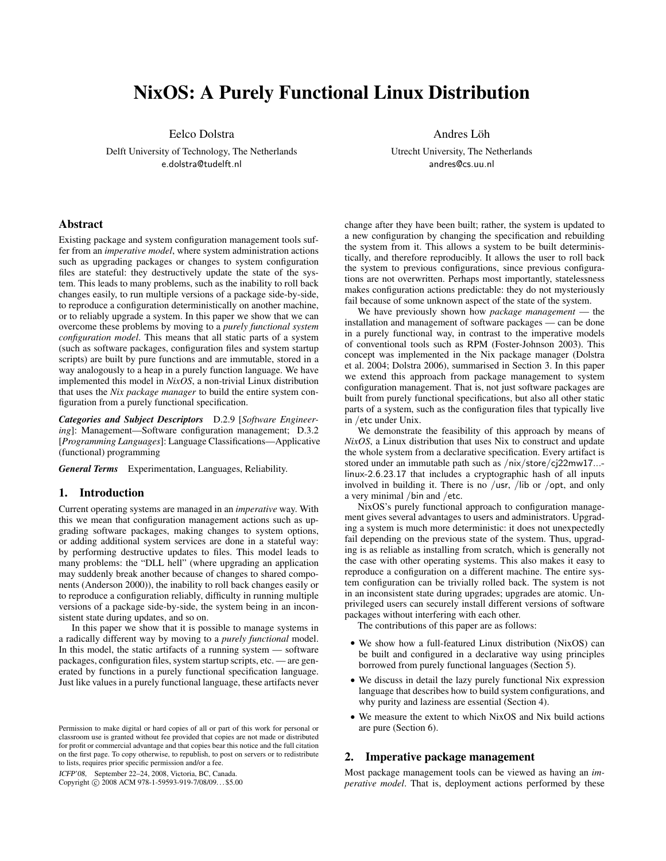# NixOS: A Purely Functional Linux Distribution

Eelco Dolstra

Delft University of Technology, The Netherlands e.dolstra@tudelft.nl

Andres Löh

Utrecht University, The Netherlands andres@cs.uu.nl

# Abstract

Existing package and system configuration management tools suffer from an *imperative model*, where system administration actions such as upgrading packages or changes to system configuration files are stateful: they destructively update the state of the system. This leads to many problems, such as the inability to roll back changes easily, to run multiple versions of a package side-by-side, to reproduce a configuration deterministically on another machine, or to reliably upgrade a system. In this paper we show that we can overcome these problems by moving to a *purely functional system configuration model*. This means that all static parts of a system (such as software packages, configuration files and system startup scripts) are built by pure functions and are immutable, stored in a way analogously to a heap in a purely function language. We have implemented this model in *NixOS*, a non-trivial Linux distribution that uses the *Nix package manager* to build the entire system configuration from a purely functional specification.

*Categories and Subject Descriptors* D.2.9 [*Software Engineering*]: Management—Software configuration management; D.3.2 [*Programming Languages*]: Language Classifications—Applicative (functional) programming

*General Terms* Experimentation, Languages, Reliability.

# 1. Introduction

Current operating systems are managed in an *imperative* way. With this we mean that configuration management actions such as upgrading software packages, making changes to system options, or adding additional system services are done in a stateful way: by performing destructive updates to files. This model leads to many problems: the "DLL hell" (where upgrading an application may suddenly break another because of changes to shared components (Anderson 2000)), the inability to roll back changes easily or to reproduce a configuration reliably, difficulty in running multiple versions of a package side-by-side, the system being in an inconsistent state during updates, and so on.

In this paper we show that it is possible to manage systems in a radically different way by moving to a *purely functional* model. In this model, the static artifacts of a running system — software packages, configuration files, system startup scripts, etc. — are generated by functions in a purely functional specification language. Just like values in a purely functional language, these artifacts never

ICFP'08, September 22–24, 2008, Victoria, BC, Canada.

Copyright © 2008 ACM 978-1-59593-919-7/08/09... \$5.00

change after they have been built; rather, the system is updated to a new configuration by changing the specification and rebuilding the system from it. This allows a system to be built deterministically, and therefore reproducibly. It allows the user to roll back the system to previous configurations, since previous configurations are not overwritten. Perhaps most importantly, statelessness makes configuration actions predictable: they do not mysteriously fail because of some unknown aspect of the state of the system.

We have previously shown how *package management* — the installation and management of software packages — can be done in a purely functional way, in contrast to the imperative models of conventional tools such as RPM (Foster-Johnson 2003). This concept was implemented in the Nix package manager (Dolstra et al. 2004; Dolstra 2006), summarised in Section 3. In this paper we extend this approach from package management to system configuration management. That is, not just software packages are built from purely functional specifications, but also all other static parts of a system, such as the configuration files that typically live in /etc under Unix.

We demonstrate the feasibility of this approach by means of *NixOS*, a Linux distribution that uses Nix to construct and update the whole system from a declarative specification. Every artifact is stored under an immutable path such as /nix/store/cj22mw17...linux-2.6.23.17 that includes a cryptographic hash of all inputs involved in building it. There is no /usr, /lib or /opt, and only a very minimal /bin and /etc.

NixOS's purely functional approach to configuration management gives several advantages to users and administrators. Upgrading a system is much more deterministic: it does not unexpectedly fail depending on the previous state of the system. Thus, upgrading is as reliable as installing from scratch, which is generally not the case with other operating systems. This also makes it easy to reproduce a configuration on a different machine. The entire system configuration can be trivially rolled back. The system is not in an inconsistent state during upgrades; upgrades are atomic. Unprivileged users can securely install different versions of software packages without interfering with each other.

The contributions of this paper are as follows:

- We show how a full-featured Linux distribution (NixOS) can be built and configured in a declarative way using principles borrowed from purely functional languages (Section 5).
- We discuss in detail the lazy purely functional Nix expression language that describes how to build system configurations, and why purity and laziness are essential (Section 4).
- We measure the extent to which NixOS and Nix build actions are pure (Section 6).

## 2. Imperative package management

Most package management tools can be viewed as having an *imperative model*. That is, deployment actions performed by these

Permission to make digital or hard copies of all or part of this work for personal or classroom use is granted without fee provided that copies are not made or distributed for profit or commercial advantage and that copies bear this notice and the full citation on the first page. To copy otherwise, to republish, to post on servers or to redistribute to lists, requires prior specific permission and/or a fee.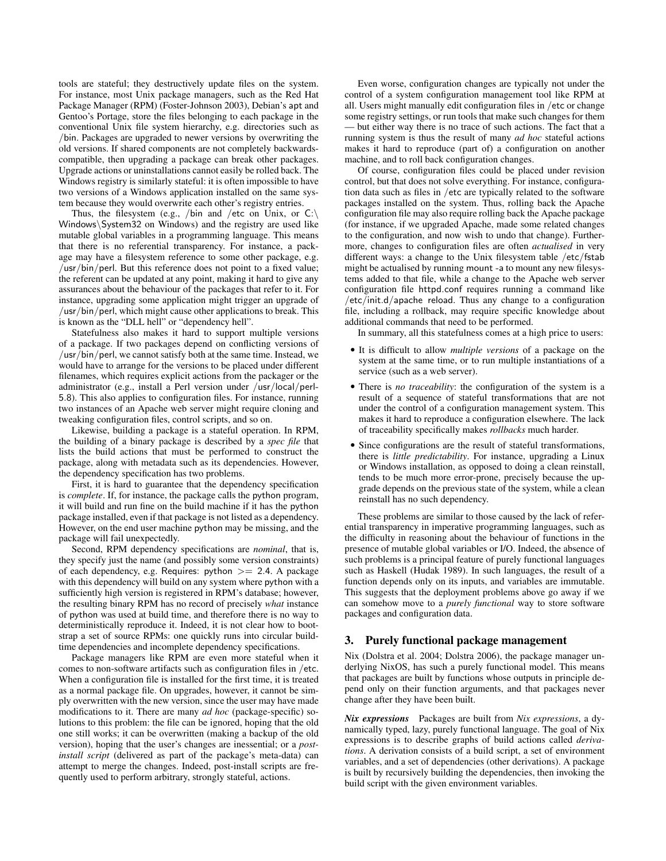tools are stateful; they destructively update files on the system. For instance, most Unix package managers, such as the Red Hat Package Manager (RPM) (Foster-Johnson 2003), Debian's apt and Gentoo's Portage, store the files belonging to each package in the conventional Unix file system hierarchy, e.g. directories such as /bin. Packages are upgraded to newer versions by overwriting the old versions. If shared components are not completely backwardscompatible, then upgrading a package can break other packages. Upgrade actions or uninstallations cannot easily be rolled back. The Windows registry is similarly stateful: it is often impossible to have two versions of a Windows application installed on the same system because they would overwrite each other's registry entries.

Thus, the filesystem (e.g., /bin and /etc on Unix, or C: $\setminus$ Windows\System32 on Windows) and the registry are used like mutable global variables in a programming language. This means that there is no referential transparency. For instance, a package may have a filesystem reference to some other package, e.g. /usr/bin/perl. But this reference does not point to a fixed value; the referent can be updated at any point, making it hard to give any assurances about the behaviour of the packages that refer to it. For instance, upgrading some application might trigger an upgrade of /usr/bin/perl, which might cause other applications to break. This is known as the "DLL hell" or "dependency hell".

Statefulness also makes it hard to support multiple versions of a package. If two packages depend on conflicting versions of /usr/bin/perl, we cannot satisfy both at the same time. Instead, we would have to arrange for the versions to be placed under different filenames, which requires explicit actions from the packager or the administrator (e.g., install a Perl version under /usr/local/perl-5.8). This also applies to configuration files. For instance, running two instances of an Apache web server might require cloning and tweaking configuration files, control scripts, and so on.

Likewise, building a package is a stateful operation. In RPM, the building of a binary package is described by a *spec file* that lists the build actions that must be performed to construct the package, along with metadata such as its dependencies. However, the dependency specification has two problems.

First, it is hard to guarantee that the dependency specification is *complete*. If, for instance, the package calls the python program, it will build and run fine on the build machine if it has the python package installed, even if that package is not listed as a dependency. However, on the end user machine python may be missing, and the package will fail unexpectedly.

Second, RPM dependency specifications are *nominal*, that is, they specify just the name (and possibly some version constraints) of each dependency, e.g. Requires: python  $\geq$  2.4. A package with this dependency will build on any system where python with a sufficiently high version is registered in RPM's database; however, the resulting binary RPM has no record of precisely *what* instance of python was used at build time, and therefore there is no way to deterministically reproduce it. Indeed, it is not clear how to bootstrap a set of source RPMs: one quickly runs into circular buildtime dependencies and incomplete dependency specifications.

Package managers like RPM are even more stateful when it comes to non-software artifacts such as configuration files in /etc. When a configuration file is installed for the first time, it is treated as a normal package file. On upgrades, however, it cannot be simply overwritten with the new version, since the user may have made modifications to it. There are many *ad hoc* (package-specific) solutions to this problem: the file can be ignored, hoping that the old one still works; it can be overwritten (making a backup of the old version), hoping that the user's changes are inessential; or a *postinstall script* (delivered as part of the package's meta-data) can attempt to merge the changes. Indeed, post-install scripts are frequently used to perform arbitrary, strongly stateful, actions.

Even worse, configuration changes are typically not under the control of a system configuration management tool like RPM at all. Users might manually edit configuration files in /etc or change some registry settings, or run tools that make such changes for them — but either way there is no trace of such actions. The fact that a running system is thus the result of many *ad hoc* stateful actions makes it hard to reproduce (part of) a configuration on another machine, and to roll back configuration changes.

Of course, configuration files could be placed under revision control, but that does not solve everything. For instance, configuration data such as files in /etc are typically related to the software packages installed on the system. Thus, rolling back the Apache configuration file may also require rolling back the Apache package (for instance, if we upgraded Apache, made some related changes to the configuration, and now wish to undo that change). Furthermore, changes to configuration files are often *actualised* in very different ways: a change to the Unix filesystem table /etc/fstab might be actualised by running mount -a to mount any new filesystems added to that file, while a change to the Apache web server configuration file httpd.conf requires running a command like /etc/init.d/apache reload. Thus any change to a configuration file, including a rollback, may require specific knowledge about additional commands that need to be performed.

In summary, all this statefulness comes at a high price to users:

- It is difficult to allow *multiple versions* of a package on the system at the same time, or to run multiple instantiations of a service (such as a web server).
- There is *no traceability*: the configuration of the system is a result of a sequence of stateful transformations that are not under the control of a configuration management system. This makes it hard to reproduce a configuration elsewhere. The lack of traceability specifically makes *rollbacks* much harder.
- Since configurations are the result of stateful transformations, there is *little predictability*. For instance, upgrading a Linux or Windows installation, as opposed to doing a clean reinstall, tends to be much more error-prone, precisely because the upgrade depends on the previous state of the system, while a clean reinstall has no such dependency.

These problems are similar to those caused by the lack of referential transparency in imperative programming languages, such as the difficulty in reasoning about the behaviour of functions in the presence of mutable global variables or I/O. Indeed, the absence of such problems is a principal feature of purely functional languages such as Haskell (Hudak 1989). In such languages, the result of a function depends only on its inputs, and variables are immutable. This suggests that the deployment problems above go away if we can somehow move to a *purely functional* way to store software packages and configuration data.

## 3. Purely functional package management

Nix (Dolstra et al. 2004; Dolstra 2006), the package manager underlying NixOS, has such a purely functional model. This means that packages are built by functions whose outputs in principle depend only on their function arguments, and that packages never change after they have been built.

*Nix expressions* Packages are built from *Nix expressions*, a dynamically typed, lazy, purely functional language. The goal of Nix expressions is to describe graphs of build actions called *derivations*. A derivation consists of a build script, a set of environment variables, and a set of dependencies (other derivations). A package is built by recursively building the dependencies, then invoking the build script with the given environment variables.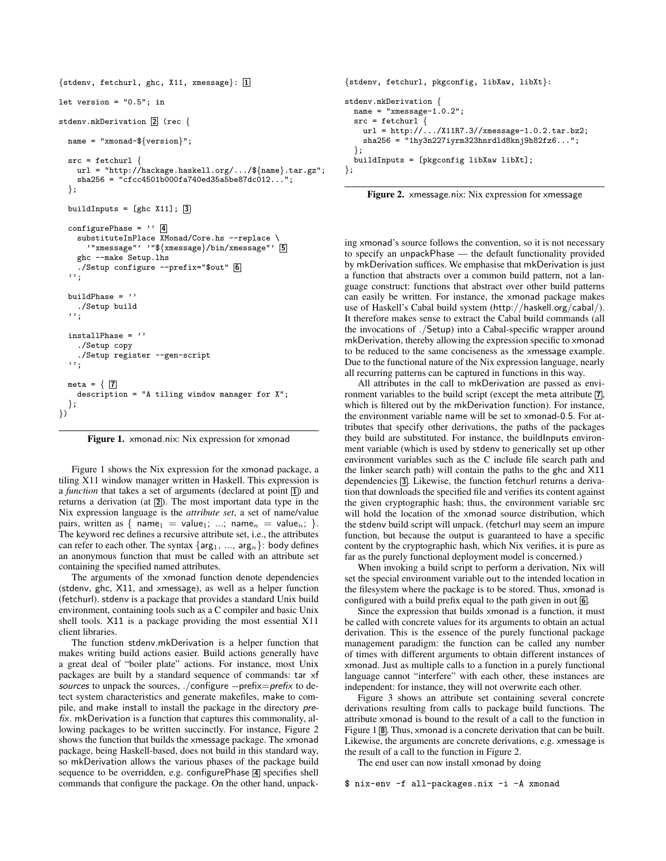```
\{stdenv, fetchurl, ghc, X11, xmessage\}: 1
let version = "0.5"; in
stdenv.mkDerivation \boxed{2} (rec {
 name = "xmond-\$(version]';
  src = fetchur1.
    url = "http://hackage.haskell.org/.../${name}.tar.gz";
    sha256 = "cfcc4501b000fa740ed35a5be87dc012...";
  };
  buildInputs = [ghc X11]; 3
  configurePhase = ' / 4
    substituteInPlace XMonad/Core.hs --replace \
      '"xmessage"' '"${xmessage}/bin/xmessage"' 5
    ghc --make Setup.lhs
    ./Setup configure --prefix="$out" 6
  '';
  buildPhase = ''
    ./Setup build
  '';
  install<br>Phase = \prime\prime./Setup copy
    ./Setup register --gen-script
  '';
 meta = \{ \overline{7} \}\overline{\text{description}} = "A tiling window manager for X";
  };
})
```


Figure 1 shows the Nix expression for the xmonad package, a tiling X11 window manager written in Haskell. This expression is a *function* that takes a set of arguments (declared at point  $\boxed{1}$ ) and returns a derivation (at  $[2]$ ). The most important data type in the Nix expression language is the *attribute set*, a set of name/value pairs, written as  $\{$  name<sub>1</sub> = value<sub>1</sub>; ...; name<sub>n</sub> = value<sub>n</sub>;  $\}$ . The keyword rec defines a recursive attribute set, i.e., the attributes can refer to each other. The syntax  $\{arg_1, ..., arg_n\}$ : body defines an anonymous function that must be called with an attribute set containing the specified named attributes.

The arguments of the xmonad function denote dependencies (stdenv, ghc, X11, and xmessage), as well as a helper function (fetchurl). stdenv is a package that provides a standard Unix build environment, containing tools such as a C compiler and basic Unix shell tools. X11 is a package providing the most essential X11 client libraries.

The function stdenv.mkDerivation is a helper function that makes writing build actions easier. Build actions generally have a great deal of "boiler plate" actions. For instance, most Unix packages are built by a standard sequence of commands: tar xf sources to unpack the sources,  $\sqrt{\text{configure -prefix}}$  - prefix to detect system characteristics and generate makefiles, make to compile, and make install to install the package in the directory prefix. mkDerivation is a function that captures this commonality, allowing packages to be written succinctly. For instance, Figure 2 shows the function that builds the xmessage package. The xmonad package, being Haskell-based, does not build in this standard way, so mkDerivation allows the various phases of the package build sequence to be overridden, e.g. configurePhase  $\boxed{4}$  specifies shell commands that configure the package. On the other hand, unpack-

```
{stdenv, fetchurl, pkgconfig, libXaw, libXt}:
stdenv.mkDerivation {
 name = "xmessage-1.0.2";
 src = fetchur1 {
   url = http://.../X11R7.3//xmessage-1.0.2.tar.bz2;
    sha256 = "1hy3n227iyrm323hnrdld8knj9h82fz6...";
  };
 buildInputs = [pkgconfig libXaw libXt];
};
```
Figure 2. xmessage.nix: Nix expression for xmessage

ing xmonad's source follows the convention, so it is not necessary to specify an unpackPhase — the default functionality provided by mkDerivation suffices. We emphasise that mkDerivation is just a function that abstracts over a common build pattern, not a language construct: functions that abstract over other build patterns can easily be written. For instance, the xmonad package makes use of Haskell's Cabal build system (http://haskell.org/cabal/). It therefore makes sense to extract the Cabal build commands (all the invocations of ./Setup) into a Cabal-specific wrapper around mkDerivation, thereby allowing the expression specific to xmonad to be reduced to the same conciseness as the xmessage example. Due to the functional nature of the Nix expression language, nearly all recurring patterns can be captured in functions in this way.

All attributes in the call to mkDerivation are passed as environment variables to the build script (except the meta attribute  $\boxed{7}$ , which is filtered out by the mkDerivation function). For instance, the environment variable name will be set to xmonad-0.5. For attributes that specify other derivations, the paths of the packages they build are substituted. For instance, the buildInputs environment variable (which is used by stdenv to generically set up other environment variables such as the C include file search path and the linker search path) will contain the paths to the ghc and X11 dependencies **3**. Likewise, the function fetchurl returns a derivation that downloads the specified file and verifies its content against the given cryptographic hash; thus, the environment variable src will hold the location of the xmonad source distribution, which the stdenv build script will unpack. (fetchurl may seem an impure function, but because the output is guaranteed to have a specific content by the cryptographic hash, which Nix verifies, it is pure as far as the purely functional deployment model is concerned.)

When invoking a build script to perform a derivation, Nix will set the special environment variable out to the intended location in the filesystem where the package is to be stored. Thus, xmonad is configured with a build prefix equal to the path given in out  $\overline{6}$ .

Since the expression that builds xmonad is a function, it must be called with concrete values for its arguments to obtain an actual derivation. This is the essence of the purely functional package management paradigm: the function can be called any number of times with different arguments to obtain different instances of xmonad. Just as multiple calls to a function in a purely functional language cannot "interfere" with each other, these instances are independent: for instance, they will not overwrite each other.

Figure 3 shows an attribute set containing several concrete derivations resulting from calls to package build functions. The attribute xmonad is bound to the result of a call to the function in Figure 1  $\overline{8}$ . Thus, xmonad is a concrete derivation that can be built. Likewise, the arguments are concrete derivations, e.g. xmessage is the result of a call to the function in Figure 2.

The end user can now install xmonad by doing

\$ nix-env -f all-packages.nix -i -A xmonad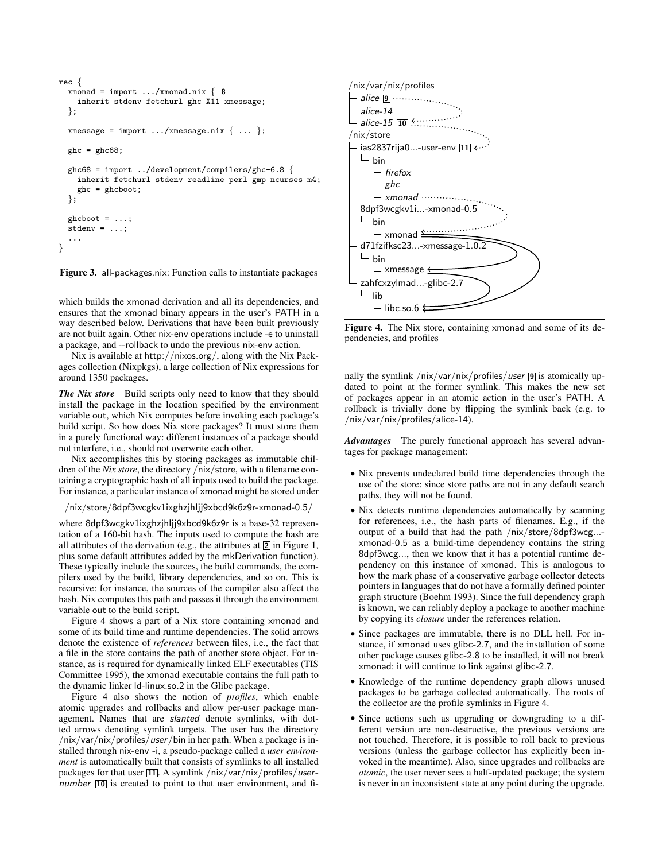```
rec {
  xmonad = import \ldots/xmonad.nix { 8}
    inherit stdenv fetchurl ghc X11 xmessage;
  };
  xmessage = import \ldots/xmessage.nix \{ \ldots \};
  ghc = ghc68;ghc68 = import ../development/compilers/ghc-6.8 {
    inherit fetchurl stdenv readline perl gmp ncurses m4;
    ghc = ghcboot;
  };
  ghcboot = ...;stdenv = ...;
  ...
}
```


which builds the xmonad derivation and all its dependencies, and ensures that the xmonad binary appears in the user's PATH in a way described below. Derivations that have been built previously are not built again. Other nix-env operations include -e to uninstall a package, and --rollback to undo the previous nix-env action.

Nix is available at http://nixos.org/, along with the Nix Packages collection (Nixpkgs), a large collection of Nix expressions for around 1350 packages.

*The Nix store* Build scripts only need to know that they should install the package in the location specified by the environment variable out, which Nix computes before invoking each package's build script. So how does Nix store packages? It must store them in a purely functional way: different instances of a package should not interfere, i.e., should not overwrite each other.

Nix accomplishes this by storing packages as immutable children of the *Nix store*, the directory /nix/store, with a filename containing a cryptographic hash of all inputs used to build the package. For instance, a particular instance of xmonad might be stored under

/nix/store/8dpf3wcgkv1ixghzjhljj9xbcd9k6z9r-xmonad-0.5/

where 8dpf3wcgkv1ixghzjhljj9xbcd9k6z9r is a base-32 representation of a 160-bit hash. The inputs used to compute the hash are all attributes of the derivation (e.g., the attributes at  $[2]$  in Figure 1, plus some default attributes added by the mkDerivation function). These typically include the sources, the build commands, the compilers used by the build, library dependencies, and so on. This is recursive: for instance, the sources of the compiler also affect the hash. Nix computes this path and passes it through the environment variable out to the build script.

Figure 4 shows a part of a Nix store containing xmonad and some of its build time and runtime dependencies. The solid arrows denote the existence of *references* between files, i.e., the fact that a file in the store contains the path of another store object. For instance, as is required for dynamically linked ELF executables (TIS Committee 1995), the xmonad executable contains the full path to the dynamic linker ld-linux.so.2 in the Glibc package.

Figure 4 also shows the notion of *profiles*, which enable atomic upgrades and rollbacks and allow per-user package management. Names that are slanted denote symlinks, with dotted arrows denoting symlink targets. The user has the directory  $/$ nix/var/nix/profiles/user/bin in her path. When a package is installed through nix-env -i, a pseudo-package called a *user environment* is automatically built that consists of symlinks to all installed packages for that user  $\boxed{11}$ . A symlink /nix/var/nix/profiles/usernumber  $\overline{10}$  is created to point to that user environment, and fi-



Figure 4. The Nix store, containing xmonad and some of its dependencies, and profiles

nally the symlink /nix/var/nix/profiles/user  $\boxed{9}$  is atomically updated to point at the former symlink. This makes the new set of packages appear in an atomic action in the user's PATH. A rollback is trivially done by flipping the symlink back (e.g. to /nix/var/nix/profiles/alice-14).

*Advantages* The purely functional approach has several advantages for package management:

- Nix prevents undeclared build time dependencies through the use of the store: since store paths are not in any default search paths, they will not be found.
- Nix detects runtime dependencies automatically by scanning for references, i.e., the hash parts of filenames. E.g., if the output of a build that had the path /nix/store/8dpf3wcg... xmonad-0.5 as a build-time dependency contains the string 8dpf3wcg..., then we know that it has a potential runtime dependency on this instance of xmonad. This is analogous to how the mark phase of a conservative garbage collector detects pointers in languages that do not have a formally defined pointer graph structure (Boehm 1993). Since the full dependency graph is known, we can reliably deploy a package to another machine by copying its *closure* under the references relation.
- Since packages are immutable, there is no DLL hell. For instance, if xmonad uses glibc-2.7, and the installation of some other package causes glibc-2.8 to be installed, it will not break xmonad: it will continue to link against glibc-2.7.
- Knowledge of the runtime dependency graph allows unused packages to be garbage collected automatically. The roots of the collector are the profile symlinks in Figure 4.
- Since actions such as upgrading or downgrading to a different version are non-destructive, the previous versions are not touched. Therefore, it is possible to roll back to previous versions (unless the garbage collector has explicitly been invoked in the meantime). Also, since upgrades and rollbacks are *atomic*, the user never sees a half-updated package; the system is never in an inconsistent state at any point during the upgrade.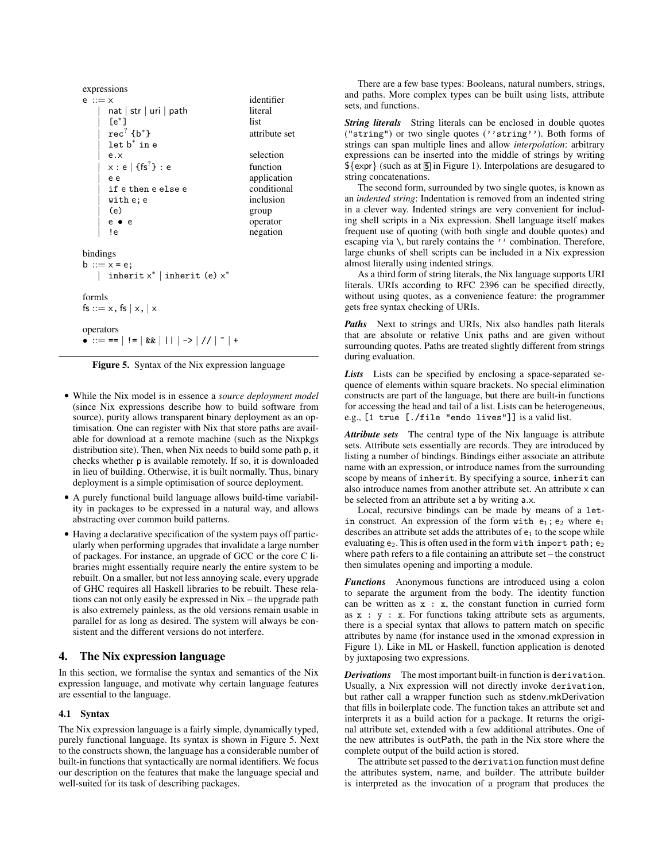```
expressions
e ::= x identifier<br>
\vert nat \vert str \vert uri \vert path literal
     nat | str | uri | path| [e
∗
         ] list
   | rec<sup>?</sup> \{b^*\}attribute set
   | let b
∗
in e
     e.x selection
     x : e | {fs<sup>?</sup>} : e<br>e e
                                   function
                                   application
     if e then e else e conditional
     with e; e inclusion
     (e) group<br>
e e e operat
                                   operator
     | !e negation
bindings
b ::= x = e;| inherit x
∗
| inherit (e) x
∗
formls
fs ::= x, fs |x|, xoperators
\bullet ::= == | != | && | || | -> | // | ~ | +
```
Figure 5. Syntax of the Nix expression language

- While the Nix model is in essence a *source deployment model* (since Nix expressions describe how to build software from source), purity allows transparent binary deployment as an optimisation. One can register with Nix that store paths are available for download at a remote machine (such as the Nixpkgs distribution site). Then, when Nix needs to build some path p, it checks whether p is available remotely. If so, it is downloaded in lieu of building. Otherwise, it is built normally. Thus, binary deployment is a simple optimisation of source deployment.
- A purely functional build language allows build-time variability in packages to be expressed in a natural way, and allows abstracting over common build patterns.
- Having a declarative specification of the system pays off particularly when performing upgrades that invalidate a large number of packages. For instance, an upgrade of GCC or the core C libraries might essentially require nearly the entire system to be rebuilt. On a smaller, but not less annoying scale, every upgrade of GHC requires all Haskell libraries to be rebuilt. These relations can not only easily be expressed in Nix – the upgrade path is also extremely painless, as the old versions remain usable in parallel for as long as desired. The system will always be consistent and the different versions do not interfere.

## 4. The Nix expression language

In this section, we formalise the syntax and semantics of the Nix expression language, and motivate why certain language features are essential to the language.

## 4.1 Syntax

The Nix expression language is a fairly simple, dynamically typed, purely functional language. Its syntax is shown in Figure 5. Next to the constructs shown, the language has a considerable number of built-in functions that syntactically are normal identifiers. We focus our description on the features that make the language special and well-suited for its task of describing packages.

There are a few base types: Booleans, natural numbers, strings, and paths. More complex types can be built using lists, attribute sets, and functions.

*String literals* String literals can be enclosed in double quotes ("string") or two single quotes (''string''). Both forms of strings can span multiple lines and allow *interpolation*: arbitrary expressions can be inserted into the middle of strings by writing  ${\frac{\sqrt{2}}{\sqrt{2}}}$  (such as at  $\overline{5}$  in Figure 1). Interpolations are desugared to string concatenations.

The second form, surrounded by two single quotes, is known as an *indented string*: Indentation is removed from an indented string in a clever way. Indented strings are very convenient for including shell scripts in a Nix expression. Shell language itself makes frequent use of quoting (with both single and double quotes) and escaping via \, but rarely contains the '' combination. Therefore, large chunks of shell scripts can be included in a Nix expression almost literally using indented strings.

As a third form of string literals, the Nix language supports URI literals. URIs according to RFC 2396 can be specified directly, without using quotes, as a convenience feature: the programmer gets free syntax checking of URIs.

Paths Next to strings and URIs, Nix also handles path literals that are absolute or relative Unix paths and are given without surrounding quotes. Paths are treated slightly different from strings during evaluation.

*Lists* Lists can be specified by enclosing a space-separated sequence of elements within square brackets. No special elimination constructs are part of the language, but there are built-in functions for accessing the head and tail of a list. Lists can be heterogeneous, e.g., [1 true [./file "endo lives"]] is a valid list.

*Attribute sets* The central type of the Nix language is attribute sets. Attribute sets essentially are records. They are introduced by listing a number of bindings. Bindings either associate an attribute name with an expression, or introduce names from the surrounding scope by means of inherit. By specifying a source, inherit can also introduce names from another attribute set. An attribute x can be selected from an attribute set a by writing a.x.

Local, recursive bindings can be made by means of a letin construct. An expression of the form with  $e_1$ ;  $e_2$  where  $e_1$ describes an attribute set adds the attributes of  $e_1$  to the scope while evaluating  $e_2$ . This is often used in the form with import path;  $e_2$ where path refers to a file containing an attribute set – the construct then simulates opening and importing a module.

*Functions* Anonymous functions are introduced using a colon to separate the argument from the body. The identity function can be written as  $x : x$ , the constant function in curried form as  $x : y : x$ . For functions taking attribute sets as arguments, there is a special syntax that allows to pattern match on specific attributes by name (for instance used in the xmonad expression in Figure 1). Like in ML or Haskell, function application is denoted by juxtaposing two expressions.

*Derivations* The most important built-in function is derivation. Usually, a Nix expression will not directly invoke derivation, but rather call a wrapper function such as stdenv.mkDerivation that fills in boilerplate code. The function takes an attribute set and interprets it as a build action for a package. It returns the original attribute set, extended with a few additional attributes. One of the new attributes is outPath, the path in the Nix store where the complete output of the build action is stored.

The attribute set passed to the derivation function must define the attributes system, name, and builder. The attribute builder is interpreted as the invocation of a program that produces the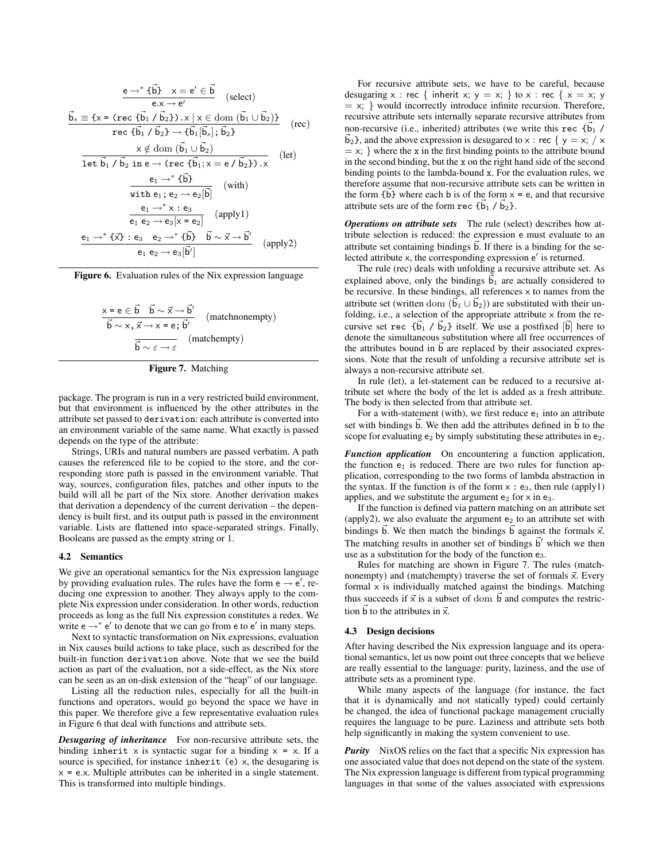$$
\begin{array}{ll}\n&\frac{e\rightarrow^* \{\vec{b}\} \quad x=e'\in \vec{b}}{e.x\rightarrow e'} & \text{(select)}\\ \n\vec{b}_s\equiv \{x=(\text{rec } \{\vec{b}_1\text{ } / \text{ } \vec{b}_2\})\text{ . } x\mid x\in \text{dom } (\vec{b}_1\cup \vec{b}_2)\}\quad \text{(rec)}\\ \n\text{rec } \{\vec{b}_1\text{ } / \text{ } \vec{b}_2\}\rightarrow \{\vec{b}_1[\vec{b}_s]; \vec{b}_2\}\n\end{array}\n\quad \text{(rec)}\\
$$
\n
$$
\frac{x\notin \text{dom } (\vec{b}_1\cup \vec{b}_2)}{1\text{ et } \vec{b}_1\text{ } / \text{ } \vec{b}_2\text{ } \text{ in } e\rightarrow (\text{rec } \{\vec{b}_1; x=e\text{ } / \text{ } \vec{b}_2\})\text{ . } x} & \text{(let)}\\
$$
\n
$$
\frac{e_1\rightarrow^* \{\vec{b}\}}{\text{with } e_1; e_2\rightarrow e_2[\vec{b}] } & \text{(with)}\\
$$
\n
$$
\frac{e_1\rightarrow^* x: e_3}{e_1 e_2\rightarrow e_3[x=e_2]} & \text{(apply1)}\\
$$
\n
$$
\frac{e_1\rightarrow^* \{\vec{x}\}: e_3 \quad e_2\rightarrow^* \{\vec{b}\} \quad \vec{b}\sim \vec{x}\rightarrow \vec{b}'}{e_1 e_2\rightarrow e_3[\vec{b}']}\n\end{array}\n\quad \text{(apply2)}
$$



$$
\frac{x = e \in \vec{b} \quad \vec{b} \sim \vec{x} \to \vec{b}'}{\vec{b} \sim x, \vec{x} \to x = e; \vec{b}'}
$$
 (matchnonempty)  

$$
\frac{\vec{b} \sim \vec{b} \sim \vec{c}}{\vec{b} \sim \vec{c} \to \vec{c}}
$$



package. The program is run in a very restricted build environment, but that environment is influenced by the other attributes in the attribute set passed to derivation: each attribute is converted into an environment variable of the same name. What exactly is passed depends on the type of the attribute:

Strings, URIs and natural numbers are passed verbatim. A path causes the referenced file to be copied to the store, and the corresponding store path is passed in the environment variable. That way, sources, configuration files, patches and other inputs to the build will all be part of the Nix store. Another derivation makes that derivation a dependency of the current derivation – the dependency is built first, and its output path is passed in the environment variable. Lists are flattened into space-separated strings. Finally, Booleans are passed as the empty string or 1.

#### 4.2 Semantics

We give an operational semantics for the Nix expression language by providing evaluation rules. The rules have the form  $e \rightarrow e'$ , reducing one expression to another. They always apply to the complete Nix expression under consideration. In other words, reduction proceeds as long as the full Nix expression constitutes a redex. We write  $e \rightarrow^* e'$  to denote that we can go from e to  $e'$  in many steps.

Next to syntactic transformation on Nix expressions, evaluation in Nix causes build actions to take place, such as described for the built-in function derivation above. Note that we see the build action as part of the evaluation, not a side-effect, as the Nix store can be seen as an on-disk extension of the "heap" of our language.

Listing all the reduction rules, especially for all the built-in functions and operators, would go beyond the space we have in this paper. We therefore give a few representative evaluation rules in Figure 6 that deal with functions and attribute sets.

*Desugaring of inheritance* For non-recursive attribute sets, the binding inherit x is syntactic sugar for a binding  $x = x$ . If a source is specified, for instance inherit (e) x, the desugaring is  $x = e.x$ . Multiple attributes can be inherited in a single statement. This is transformed into multiple bindings.

For recursive attribute sets, we have to be careful, because desugaring x : rec { inherit x;  $y = x$ ; } to x : rec {  $x = x$ ; y  $= x$ ; } would incorrectly introduce infinite recursion. Therefore, recursive attribute sets internally separate recursive attributes from non-recursive (i.e., inherited) attributes (we write this rec  ${b_1 /$  $b_2$ , and the above expression is desugared to x : rec { y = x; / x  $= x$ ; } where the x in the first binding points to the attribute bound in the second binding, but the x on the right hand side of the second binding points to the lambda-bound x. For the evaluation rules, we therefore assume that non-recursive attribute sets can be written in the form  $\{\vec{b}\}$  where each b is of the form  $x = e$ , and that recursive attribute sets are of the form rec  $\{\vec{b}_1 / \vec{b}_2\}$ .

*Operations on attribute sets* The rule (select) describes how attribute selection is reduced: the expression e must evaluate to an attribute set containing bindings  $\vec{b}$ . If there is a binding for the selected attribute x, the corresponding expression e' is returned.

The rule (rec) deals with unfolding a recursive attribute set. As explained above, only the bindings  $b_1$  are actually considered to be recursive. In these bindings, all references  $\times$  to names from the attribute set (written dom  $(\vec{b}_1 \cup \vec{b}_2)$ ) are substituted with their unfolding, i.e., a selection of the appropriate attribute  $x$  from the recursive set rec  $\{\vec{b}_1 / \vec{b}_2\}$  itself. We use a postfixed  $[\vec{b}]$  here to denote the simultaneous substitution where all free occurrences of the attributes bound in  $\mathbf b$  are replaced by their associated expressions. Note that the result of unfolding a recursive attribute set is always a non-recursive attribute set.

In rule (let), a let-statement can be reduced to a recursive attribute set where the body of the let is added as a fresh attribute. The body is then selected from that attribute set.

For a with-statement (with), we first reduce  $e_1$  into an attribute set with bindings  $\vec{b}$ . We then add the attributes defined in  $\vec{b}$  to the scope for evaluating  $e_2$  by simply substituting these attributes in  $e_2$ .

*Function application* On encountering a function application, the function  $e_1$  is reduced. There are two rules for function application, corresponding to the two forms of lambda abstraction in the syntax. If the function is of the form  $x : e_3$ , then rule (apply1) applies, and we substitute the argument  $e_2$  for  $\times$  in  $e_3$ .

If the function is defined via pattern matching on an attribute set (apply2), we also evaluate the argument  $e_2$  to an attribute set with bindings  $\vec{b}$ . We then match the bindings  $\vec{b}$  against the formals  $\vec{x}$ . The matching results in another set of bindings  $\vec{b}'$  which we then use as a substitution for the body of the function e3.

Rules for matching are shown in Figure 7. The rules (matchnonempty) and (matchempty) traverse the set of formals  $\vec{x}$ . Every formal  $x$  is individually matched against the bindings. Matching thus succeeds if  $\vec{x}$  is a subset of dom  $\vec{b}$  and computes the restriction b to the attributes in  $\vec{x}$ .

#### 4.3 Design decisions

After having described the Nix expression language and its operational semantics, let us now point out three concepts that we believe are really essential to the language: purity, laziness, and the use of attribute sets as a prominent type.

While many aspects of the language (for instance, the fact that it is dynamically and not statically typed) could certainly be changed, the idea of functional package management crucially requires the language to be pure. Laziness and attribute sets both help significantly in making the system convenient to use.

*Purity* NixOS relies on the fact that a specific Nix expression has one associated value that does not depend on the state of the system. The Nix expression language is different from typical programming languages in that some of the values associated with expressions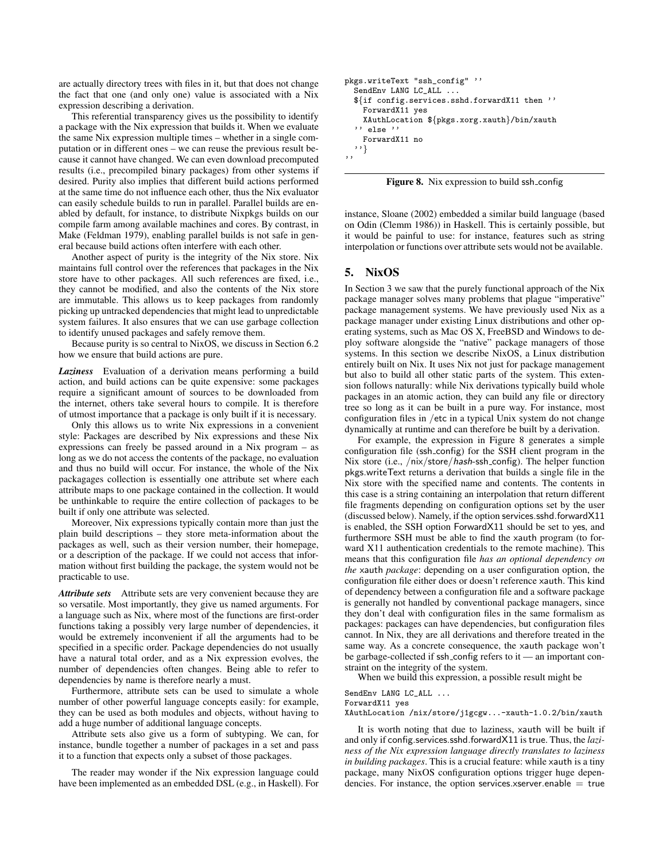are actually directory trees with files in it, but that does not change the fact that one (and only one) value is associated with a Nix expression describing a derivation.

This referential transparency gives us the possibility to identify a package with the Nix expression that builds it. When we evaluate the same Nix expression multiple times – whether in a single computation or in different ones – we can reuse the previous result because it cannot have changed. We can even download precomputed results (i.e., precompiled binary packages) from other systems if desired. Purity also implies that different build actions performed at the same time do not influence each other, thus the Nix evaluator can easily schedule builds to run in parallel. Parallel builds are enabled by default, for instance, to distribute Nixpkgs builds on our compile farm among available machines and cores. By contrast, in Make (Feldman 1979), enabling parallel builds is not safe in general because build actions often interfere with each other.

Another aspect of purity is the integrity of the Nix store. Nix maintains full control over the references that packages in the Nix store have to other packages. All such references are fixed, i.e., they cannot be modified, and also the contents of the Nix store are immutable. This allows us to keep packages from randomly picking up untracked dependencies that might lead to unpredictable system failures. It also ensures that we can use garbage collection to identify unused packages and safely remove them.

Because purity is so central to NixOS, we discuss in Section 6.2 how we ensure that build actions are pure.

*Laziness* Evaluation of a derivation means performing a build action, and build actions can be quite expensive: some packages require a significant amount of sources to be downloaded from the internet, others take several hours to compile. It is therefore of utmost importance that a package is only built if it is necessary.

Only this allows us to write Nix expressions in a convenient style: Packages are described by Nix expressions and these Nix expressions can freely be passed around in a Nix program – as long as we do not access the contents of the package, no evaluation and thus no build will occur. For instance, the whole of the Nix packagages collection is essentially one attribute set where each attribute maps to one package contained in the collection. It would be unthinkable to require the entire collection of packages to be built if only one attribute was selected.

Moreover, Nix expressions typically contain more than just the plain build descriptions – they store meta-information about the packages as well, such as their version number, their homepage, or a description of the package. If we could not access that information without first building the package, the system would not be practicable to use.

*Attribute sets* Attribute sets are very convenient because they are so versatile. Most importantly, they give us named arguments. For a language such as Nix, where most of the functions are first-order functions taking a possibly very large number of dependencies, it would be extremely inconvenient if all the arguments had to be specified in a specific order. Package dependencies do not usually have a natural total order, and as a Nix expression evolves, the number of dependencies often changes. Being able to refer to dependencies by name is therefore nearly a must.

Furthermore, attribute sets can be used to simulate a whole number of other powerful language concepts easily: for example, they can be used as both modules and objects, without having to add a huge number of additional language concepts.

Attribute sets also give us a form of subtyping. We can, for instance, bundle together a number of packages in a set and pass it to a function that expects only a subset of those packages.

The reader may wonder if the Nix expression language could have been implemented as an embedded DSL (e.g., in Haskell). For

```
pkgs.writeText "ssh_config" ''
  SendEnv LANG LC_ALL ...
  ${if config.services.sshd.forwardX11 then ''
    ForwardX11 yes
    XAuthLocation ${pkgs.xorg.xauth}/bin/xauth
  '' else ''
    ForwardX11 no
  ''}
''
```
Figure 8. Nix expression to build ssh\_config

instance, Sloane (2002) embedded a similar build language (based on Odin (Clemm 1986)) in Haskell. This is certainly possible, but it would be painful to use: for instance, features such as string interpolation or functions over attribute sets would not be available.

### 5. NixOS

In Section 3 we saw that the purely functional approach of the Nix package manager solves many problems that plague "imperative" package management systems. We have previously used Nix as a package manager under existing Linux distributions and other operating systems, such as Mac OS X, FreeBSD and Windows to deploy software alongside the "native" package managers of those systems. In this section we describe NixOS, a Linux distribution entirely built on Nix. It uses Nix not just for package management but also to build all other static parts of the system. This extension follows naturally: while Nix derivations typically build whole packages in an atomic action, they can build any file or directory tree so long as it can be built in a pure way. For instance, most configuration files in /etc in a typical Unix system do not change dynamically at runtime and can therefore be built by a derivation.

For example, the expression in Figure 8 generates a simple configuration file (ssh config) for the SSH client program in the Nix store (i.e., /nix/store/hash-ssh\_config). The helper function pkgs.writeText returns a derivation that builds a single file in the Nix store with the specified name and contents. The contents in this case is a string containing an interpolation that return different file fragments depending on configuration options set by the user (discussed below). Namely, if the option services.sshd.forwardX11 is enabled, the SSH option ForwardX11 should be set to yes, and furthermore SSH must be able to find the xauth program (to forward X11 authentication credentials to the remote machine). This means that this configuration file *has an optional dependency on the* xauth *package*: depending on a user configuration option, the configuration file either does or doesn't reference xauth. This kind of dependency between a configuration file and a software package is generally not handled by conventional package managers, since they don't deal with configuration files in the same formalism as packages: packages can have dependencies, but configuration files cannot. In Nix, they are all derivations and therefore treated in the same way. As a concrete consequence, the xauth package won't be garbage-collected if ssh config refers to it — an important constraint on the integrity of the system.

When we build this expression, a possible result might be

#### SendEnv LANG LC\_ALL ...

ForwardX11 yes

XAuthLocation /nix/store/j1gcgw...-xauth-1.0.2/bin/xauth

It is worth noting that due to laziness, xauth will be built if and only if config.services.sshd.forwardX11 is true. Thus, the *laziness of the Nix expression language directly translates to laziness in building packages*. This is a crucial feature: while xauth is a tiny package, many NixOS configuration options trigger huge dependencies. For instance, the option services xserver enable  $=$  true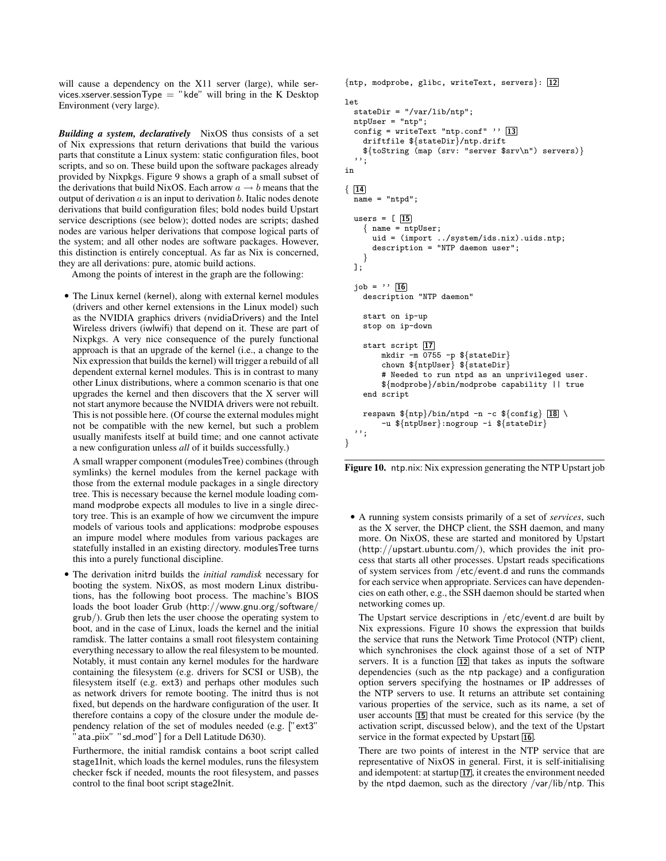will cause a dependency on the X11 server (large), while services.xserver.sessionType  $=$  "kde" will bring in the K Desktop Environment (very large).

*Building a system, declaratively* NixOS thus consists of a set of Nix expressions that return derivations that build the various parts that constitute a Linux system: static configuration files, boot scripts, and so on. These build upon the software packages already provided by Nixpkgs. Figure 9 shows a graph of a small subset of the derivations that build NixOS. Each arrow  $a \rightarrow b$  means that the output of derivation  $a$  is an input to derivation  $b$ . Italic nodes denote derivations that build configuration files; bold nodes build Upstart service descriptions (see below); dotted nodes are scripts; dashed nodes are various helper derivations that compose logical parts of the system; and all other nodes are software packages. However, this distinction is entirely conceptual. As far as Nix is concerned, they are all derivations: pure, atomic build actions.

Among the points of interest in the graph are the following:

• The Linux kernel (kernel), along with external kernel modules (drivers and other kernel extensions in the Linux model) such as the NVIDIA graphics drivers (nvidiaDrivers) and the Intel Wireless drivers (iwlwifi) that depend on it. These are part of Nixpkgs. A very nice consequence of the purely functional approach is that an upgrade of the kernel (i.e., a change to the Nix expression that builds the kernel) will trigger a rebuild of all dependent external kernel modules. This is in contrast to many other Linux distributions, where a common scenario is that one upgrades the kernel and then discovers that the X server will not start anymore because the NVIDIA drivers were not rebuilt. This is not possible here. (Of course the external modules might not be compatible with the new kernel, but such a problem usually manifests itself at build time; and one cannot activate a new configuration unless *all* of it builds successfully.)

A small wrapper component (modulesTree) combines (through symlinks) the kernel modules from the kernel package with those from the external module packages in a single directory tree. This is necessary because the kernel module loading command modprobe expects all modules to live in a single directory tree. This is an example of how we circumvent the impure models of various tools and applications: modprobe espouses an impure model where modules from various packages are statefully installed in an existing directory. modulesTree turns this into a purely functional discipline.

• The derivation initrd builds the *initial ramdisk* necessary for booting the system. NixOS, as most modern Linux distributions, has the following boot process. The machine's BIOS loads the boot loader Grub (http://www.gnu.org/software/ grub/). Grub then lets the user choose the operating system to boot, and in the case of Linux, loads the kernel and the initial ramdisk. The latter contains a small root filesystem containing everything necessary to allow the real filesystem to be mounted. Notably, it must contain any kernel modules for the hardware containing the filesystem (e.g. drivers for SCSI or USB), the filesystem itself (e.g. ext3) and perhaps other modules such as network drivers for remote booting. The initrd thus is not fixed, but depends on the hardware configuration of the user. It therefore contains a copy of the closure under the module dependency relation of the set of modules needed (e.g. ["ext3" "ata\_piix" "sd\_mod"] for a Dell Latitude D630).

Furthermore, the initial ramdisk contains a boot script called stage1Init, which loads the kernel modules, runs the filesystem checker fsck if needed, mounts the root filesystem, and passes control to the final boot script stage2Init.

```
{ntp, modprobe, glibc, writeText, servers}: 12
let
  stateDir = "/var/lib/ntp";
  ntpUser = "ntp";
  config = writeText "ntp.conf" '' \boxed{13}driftfile ${stateDir}/ntp.drift
    ${toString (map (srv: "server $srv\n") servers)}
  '';
in
\{ 14
  name = "ntpd";
  users = \begin{bmatrix} 15 \end{bmatrix}\{ name = ntpUser;uid = (import ../system/ids.nix).uids.ntp;
      description = "NTP daemon user";
    }
  ];
  job = '' 16
    description "NTP daemon"
    start on ip-up
    stop on ip-down
    start script 17
        mkdir -m 0755 -p ${stateDir}
        chown ${ntpUser} ${stateDir}
         # Needed to run ntpd as an unprivileged user.
        ${modprobe}/sbin/modprobe capability || true
    end script
    respawn {\frac{18}{\pi}}/bin/ntpd -n -c {\frac{18}{\pi}}-u ${ntpUser}:nogroup -i ${stateDir}
  '';
}
```
Figure 10. ntp.nix: Nix expression generating the NTP Upstart job

• A running system consists primarily of a set of *services*, such as the X server, the DHCP client, the SSH daemon, and many more. On NixOS, these are started and monitored by Upstart (http://upstart.ubuntu.com/), which provides the init process that starts all other processes. Upstart reads specifications of system services from /etc/event.d and runs the commands for each service when appropriate. Services can have dependencies on eath other, e.g., the SSH daemon should be started when networking comes up.

The Upstart service descriptions in /etc/event.d are built by Nix expressions. Figure 10 shows the expression that builds the service that runs the Network Time Protocol (NTP) client, which synchronises the clock against those of a set of NTP servers. It is a function  $\boxed{12}$  that takes as inputs the software dependencies (such as the ntp package) and a configuration option servers specifying the hostnames or IP addresses of the NTP servers to use. It returns an attribute set containing various properties of the service, such as its name, a set of user accounts  $\overline{15}$  that must be created for this service (by the activation script, discussed below), and the text of the Upstart service in the format expected by Upstart 16.

There are two points of interest in the NTP service that are representative of NixOS in general. First, it is self-initialising and idempotent: at startup  $\overline{17}$ , it creates the environment needed by the ntpd daemon, such as the directory /var/lib/ntp. This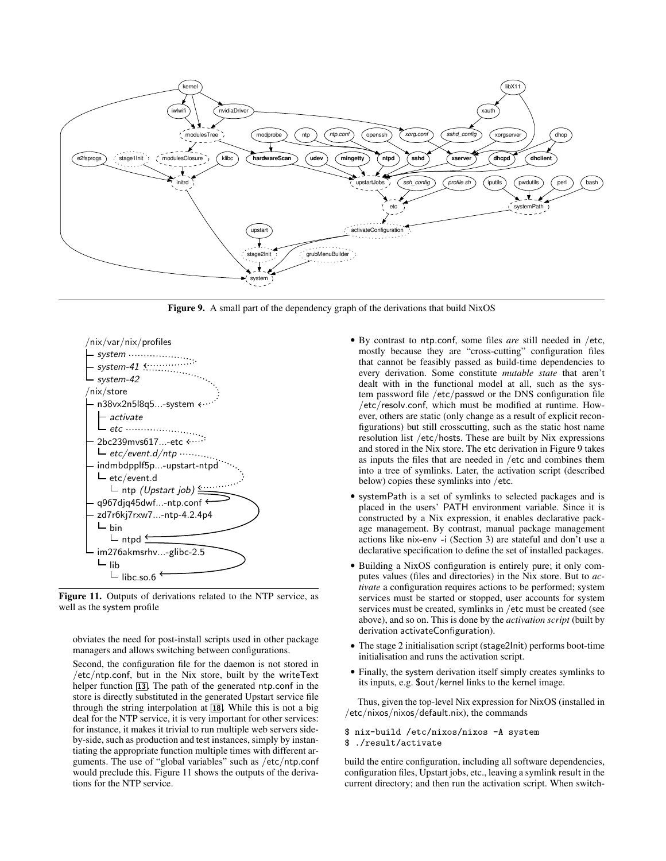

Figure 9. A small part of the dependency graph of the derivations that build NixOS



Figure 11. Outputs of derivations related to the NTP service, as well as the system profile

obviates the need for post-install scripts used in other package managers and allows switching between configurations.

Second, the configuration file for the daemon is not stored in /etc/ntp.conf, but in the Nix store, built by the writeText helper function  $\overline{13}$ . The path of the generated ntp.conf in the store is directly substituted in the generated Upstart service file through the string interpolation at  $\boxed{18}$ . While this is not a big deal for the NTP service, it is very important for other services: for instance, it makes it trivial to run multiple web servers sideby-side, such as production and test instances, simply by instantiating the appropriate function multiple times with different arguments. The use of "global variables" such as /etc/ntp.conf would preclude this. Figure 11 shows the outputs of the derivations for the NTP service.

- By contrast to ntp.conf, some files *are* still needed in /etc, mostly because they are "cross-cutting" configuration files that cannot be feasibly passed as build-time dependencies to every derivation. Some constitute *mutable state* that aren't dealt with in the functional model at all, such as the system password file /etc/passwd or the DNS configuration file /etc/resolv.conf, which must be modified at runtime. However, others are static (only change as a result of explicit reconfigurations) but still crosscutting, such as the static host name resolution list /etc/hosts. These are built by Nix expressions and stored in the Nix store. The etc derivation in Figure 9 takes as inputs the files that are needed in /etc and combines them into a tree of symlinks. Later, the activation script (described below) copies these symlinks into /etc.
- systemPath is a set of symlinks to selected packages and is placed in the users' PATH environment variable. Since it is constructed by a Nix expression, it enables declarative package management. By contrast, manual package management actions like nix-env -i (Section 3) are stateful and don't use a declarative specification to define the set of installed packages.
- Building a NixOS configuration is entirely pure; it only computes values (files and directories) in the Nix store. But to *activate* a configuration requires actions to be performed; system services must be started or stopped, user accounts for system services must be created, symlinks in /etc must be created (see above), and so on. This is done by the *activation script* (built by derivation activateConfiguration).
- The stage 2 initialisation script (stage2Init) performs boot-time initialisation and runs the activation script.
- Finally, the system derivation itself simply creates symlinks to its inputs, e.g. \$out/kernel links to the kernel image.

Thus, given the top-level Nix expression for NixOS (installed in /etc/nixos/nixos/default.nix), the commands

- \$ nix-build /etc/nixos/nixos -A system
- \$ ./result/activate

build the entire configuration, including all software dependencies, configuration files, Upstart jobs, etc., leaving a symlink result in the current directory; and then run the activation script. When switch-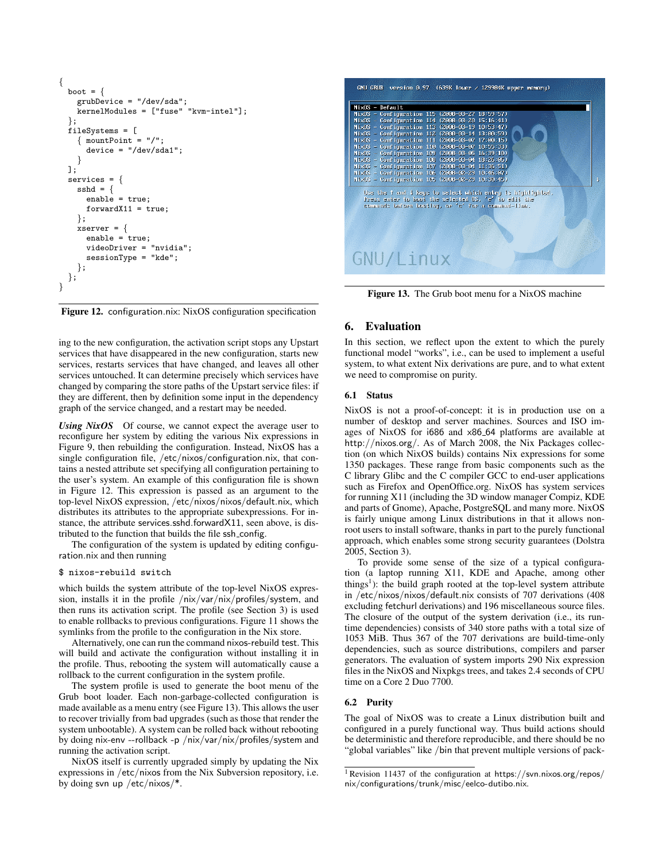```
{
  boot = \{grubDevice = "/dev/sda";
    kernelModules = ["fuse" "kvm-intel"];
  };
 fileSystems = [
    \{ mountPoint = "/";
      device = "/dev/sda1";
    }
 ];
  services = {
    sshd = \{enable = true;forwardX11 = true;};
    xserver = \{enable = true;
      videoDriver = "nvidia";
      sessionType = "kde";
    };
 };
}
```
Figure 12. configuration.nix: NixOS configuration specification

ing to the new configuration, the activation script stops any Upstart services that have disappeared in the new configuration, starts new services, restarts services that have changed, and leaves all other services untouched. It can determine precisely which services have changed by comparing the store paths of the Upstart service files: if they are different, then by definition some input in the dependency graph of the service changed, and a restart may be needed.

*Using NixOS* Of course, we cannot expect the average user to reconfigure her system by editing the various Nix expressions in Figure 9, then rebuilding the configuration. Instead, NixOS has a single configuration file, /etc/nixos/configuration.nix, that contains a nested attribute set specifying all configuration pertaining to the user's system. An example of this configuration file is shown in Figure 12. This expression is passed as an argument to the top-level NixOS expression, /etc/nixos/nixos/default.nix, which distributes its attributes to the appropriate subexpressions. For instance, the attribute services.sshd.forwardX11, seen above, is distributed to the function that builds the file ssh config.

The configuration of the system is updated by editing configuration.nix and then running

#### \$ nixos-rebuild switch

which builds the system attribute of the top-level NixOS expression, installs it in the profile /nix/var/nix/profiles/system, and then runs its activation script. The profile (see Section 3) is used to enable rollbacks to previous configurations. Figure 11 shows the symlinks from the profile to the configuration in the Nix store.

Alternatively, one can run the command nixos-rebuild test. This will build and activate the configuration without installing it in the profile. Thus, rebooting the system will automatically cause a rollback to the current configuration in the system profile.

The system profile is used to generate the boot menu of the Grub boot loader. Each non-garbage-collected configuration is made available as a menu entry (see Figure 13). This allows the user to recover trivially from bad upgrades (such as those that render the system unbootable). A system can be rolled back without rebooting by doing nix-env --rollback -p /nix/var/nix/profiles/system and running the activation script.

NixOS itself is currently upgraded simply by updating the Nix expressions in /etc/nixos from the Nix Subversion repository, i.e. by doing svn up /etc/nixos/\*.



Figure 13. The Grub boot menu for a NixOS machine

# 6. Evaluation

In this section, we reflect upon the extent to which the purely functional model "works", i.e., can be used to implement a useful system, to what extent Nix derivations are pure, and to what extent we need to compromise on purity.

#### 6.1 Status

NixOS is not a proof-of-concept: it is in production use on a number of desktop and server machines. Sources and ISO images of NixOS for i686 and x86 64 platforms are available at http://nixos.org/. As of March 2008, the Nix Packages collection (on which NixOS builds) contains Nix expressions for some 1350 packages. These range from basic components such as the C library Glibc and the C compiler GCC to end-user applications such as Firefox and OpenOffice.org. NixOS has system services for running X11 (including the 3D window manager Compiz, KDE and parts of Gnome), Apache, PostgreSQL and many more. NixOS is fairly unique among Linux distributions in that it allows nonroot users to install software, thanks in part to the purely functional approach, which enables some strong security guarantees (Dolstra 2005, Section 3).

To provide some sense of the size of a typical configuration (a laptop running X11, KDE and Apache, among other things<sup>1</sup>): the build graph rooted at the top-level system attribute in /etc/nixos/nixos/default.nix consists of 707 derivations (408 excluding fetchurl derivations) and 196 miscellaneous source files. The closure of the output of the system derivation (i.e., its runtime dependencies) consists of 340 store paths with a total size of 1053 MiB. Thus 367 of the 707 derivations are build-time-only dependencies, such as source distributions, compilers and parser generators. The evaluation of system imports 290 Nix expression files in the NixOS and Nixpkgs trees, and takes 2.4 seconds of CPU time on a Core 2 Duo 7700.

#### 6.2 Purity

The goal of NixOS was to create a Linux distribution built and configured in a purely functional way. Thus build actions should be deterministic and therefore reproducible, and there should be no "global variables" like /bin that prevent multiple versions of pack-

<sup>1</sup> Revision 11437 of the configuration at https://svn.nixos.org/repos/ nix/configurations/trunk/misc/eelco-dutibo.nix.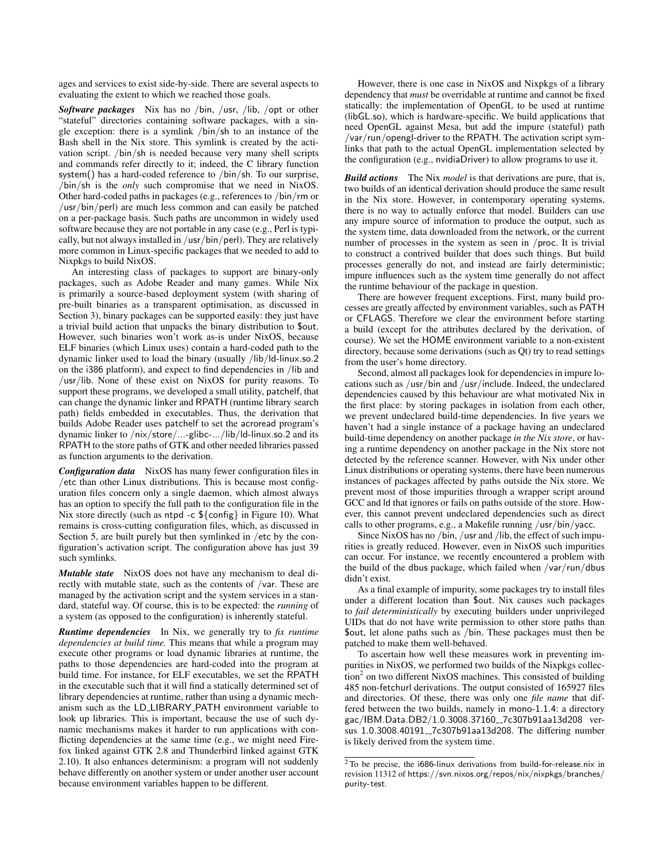ages and services to exist side-by-side. There are several aspects to evaluating the extent to which we reached those goals.

*Software packages* Nix has no /bin, /usr, /lib, /opt or other "stateful" directories containing software packages, with a single exception: there is a symlink /bin/sh to an instance of the Bash shell in the Nix store. This symlink is created by the activation script. /bin/sh is needed because very many shell scripts and commands refer directly to it; indeed, the C library function system() has a hard-coded reference to /bin/sh. To our surprise, /bin/sh is the *only* such compromise that we need in NixOS. Other hard-coded paths in packages (e.g., references to /bin/rm or /usr/bin/perl) are much less common and can easily be patched on a per-package basis. Such paths are uncommon in widely used software because they are not portable in any case (e.g., Perl is typically, but not always installed in /usr/bin/perl). They are relatively more common in Linux-specific packages that we needed to add to Nixpkgs to build NixOS.

An interesting class of packages to support are binary-only packages, such as Adobe Reader and many games. While Nix is primarily a source-based deployment system (with sharing of pre-built binaries as a transparent optimisation, as discussed in Section 3), binary packages can be supported easily: they just have a trivial build action that unpacks the binary distribution to \$out. However, such binaries won't work as-is under NixOS, because ELF binaries (which Linux uses) contain a hard-coded path to the dynamic linker used to load the binary (usually /lib/ld-linux.so.2 on the i386 platform), and expect to find dependencies in /lib and /usr/lib. None of these exist on NixOS for purity reasons. To support these programs, we developed a small utility, patchelf, that can change the dynamic linker and RPATH (runtime library search path) fields embedded in executables. Thus, the derivation that builds Adobe Reader uses patchelf to set the acroread program's dynamic linker to /nix/store/...-glibc-.../lib/ld-linux.so.2 and its RPATH to the store paths of GTK and other needed libraries passed as function arguments to the derivation.

*Configuration data* NixOS has many fewer configuration files in /etc than other Linux distributions. This is because most configuration files concern only a single daemon, which almost always has an option to specify the full path to the configuration file in the Nix store directly (such as ntpd -c \${config} in Figure 10). What remains is cross-cutting configuration files, which, as discussed in Section 5, are built purely but then symlinked in /etc by the configuration's activation script. The configuration above has just 39 such symlinks.

*Mutable state* NixOS does not have any mechanism to deal directly with mutable state, such as the contents of /var. These are managed by the activation script and the system services in a standard, stateful way. Of course, this is to be expected: the *running* of a system (as opposed to the configuration) is inherently stateful.

*Runtime dependencies* In Nix, we generally try to *fix runtime dependencies at build time.* This means that while a program may execute other programs or load dynamic libraries at runtime, the paths to those dependencies are hard-coded into the program at build time. For instance, for ELF executables, we set the RPATH in the executable such that it will find a statically determined set of library dependencies at runtime, rather than using a dynamic mechanism such as the LD LIBRARY PATH environment variable to look up libraries. This is important, because the use of such dynamic mechanisms makes it harder to run applications with conflicting dependencies at the same time (e.g., we might need Firefox linked against GTK 2.8 and Thunderbird linked against GTK 2.10). It also enhances determinism: a program will not suddenly behave differently on another system or under another user account because environment variables happen to be different.

However, there is one case in NixOS and Nixpkgs of a library dependency that *must* be overridable at runtime and cannot be fixed statically: the implementation of OpenGL to be used at runtime (libGL.so), which is hardware-specific. We build applications that need OpenGL against Mesa, but add the impure (stateful) path /var/run/opengl-driver to the RPATH. The activation script symlinks that path to the actual OpenGL implementation selected by the configuration (e.g., nvidiaDriver) to allow programs to use it.

*Build actions* The Nix *model* is that derivations are pure, that is, two builds of an identical derivation should produce the same result in the Nix store. However, in contemporary operating systems, there is no way to actually enforce that model. Builders can use any impure source of information to produce the output, such as the system time, data downloaded from the network, or the current number of processes in the system as seen in /proc. It is trivial to construct a contrived builder that does such things. But build processes generally do not, and instead are fairly deterministic; impure influences such as the system time generally do not affect the runtime behaviour of the package in question.

There are however frequent exceptions. First, many build processes are greatly affected by environment variables, such as PATH or CFLAGS. Therefore we clear the environment before starting a build (except for the attributes declared by the derivation, of course). We set the HOME environment variable to a non-existent directory, because some derivations (such as Qt) try to read settings from the user's home directory.

Second, almost all packages look for dependencies in impure locations such as /usr/bin and /usr/include. Indeed, the undeclared dependencies caused by this behaviour are what motivated Nix in the first place: by storing packages in isolation from each other, we prevent undeclared build-time dependencies. In five years we haven't had a single instance of a package having an undeclared build-time dependency on another package *in the Nix store*, or having a runtime dependency on another package in the Nix store not detected by the reference scanner. However, with Nix under other Linux distributions or operating systems, there have been numerous instances of packages affected by paths outside the Nix store. We prevent most of those impurities through a wrapper script around GCC and ld that ignores or fails on paths outside of the store. However, this cannot prevent undeclared dependencies such as direct calls to other programs, e.g., a Makefile running /usr/bin/yacc.

Since NixOS has no /bin, /usr and /lib, the effect of such impurities is greatly reduced. However, even in NixOS such impurities can occur. For instance, we recently encountered a problem with the build of the dbus package, which failed when /var/run/dbus didn't exist.

As a final example of impurity, some packages try to install files under a different location than \$out. Nix causes such packages to *fail deterministically* by executing builders under unprivileged UIDs that do not have write permission to other store paths than \$out, let alone paths such as /bin. These packages must then be patched to make them well-behaved.

To ascertain how well these measures work in preventing impurities in NixOS, we performed two builds of the Nixpkgs collection<sup>2</sup> on two different NixOS machines. This consisted of building 485 non-fetchurl derivations. The output consisted of 165927 files and directories. Of these, there was only one *file name* that differed between the two builds, namely in mono-1.1.4: a directory gac/IBM.Data.DB2/1.0.3008.37160\_7c307b91aa13d208 versus 1.0.3008.40191\_7c307b91aa13d208. The differing number is likely derived from the system time.

 $2$  To be precise, the i686-linux derivations from build-for-release.nix in revision 11312 of https://svn.nixos.org/repos/nix/nixpkgs/branches/ purity-test.